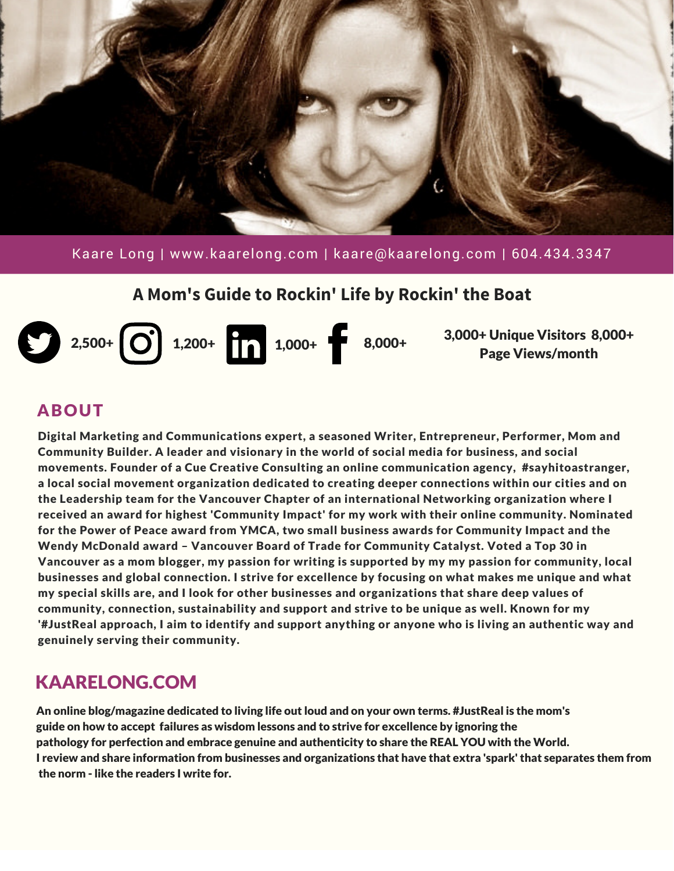

Kaare Long | www.kaarelong.com | kaare@kaarelong.com | 604.434.3347

#### **A Mom's Guide to Rockin' Life by Rockin' the Boat**



3,000+ Unique Visitors 8,000+ Page Views/month

#### ABOUT

Digital Marketing and Communications expert, a seasoned Writer, Entrepreneur, Performer, Mom and Community Builder. A leader and visionary in the world of social media for business, and social movements. Founder of a Cue Creative Consulting an online communication agency, #sayhitoastranger, a local social movement organization dedicated to creating deeper connections within our cities and on the Leadership team for the Vancouver Chapter of an international Networking organization where I received an award for highest 'Community Impact' for my work with their online community. Nominated for the Power of Peace award from YMCA, two small business awards for Community Impact and the Wendy McDonald award – Vancouver Board of Trade for Community Catalyst. Voted a Top 30 in Vancouver as a mom blogger, my passion for writing is supported by my my passion for community, local businesses and global connection. I strive for excellence by focusing on what makes me unique and what my special skills are, and I look for other businesses and organizations that share deep values of community, connection, sustainability and support and strive to be unique as well. Known for my '#JustReal approach, I aim to identify and support anything or anyone who is living an authentic way and genuinely serving their community.

# KAARELONG.COM

An online blog/magazine dedicated to living life out loud and on your own terms. #JustReal is the mom's guide on how to accept failures as wisdom lessons and to strive for excellence by ignoring the pathology for perfection and embrace genuine and authenticity to share the REAL YOU with the World. I review and share information from businesses and organizations that have that extra 'spark' that separates them from the norm - like the readers I write for.